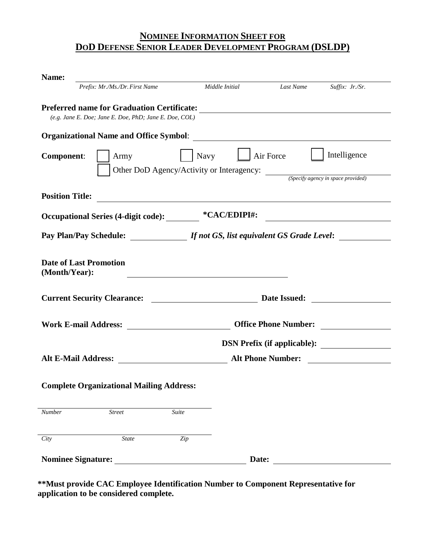# **NOMINEE INFORMATION SHEET FOR DOD DEFENSE SENIOR LEADER DEVELOPMENT PROGRAM (DSLDP)**

| Name:                                                  |                                                                                                                             |  |  |  |  |
|--------------------------------------------------------|-----------------------------------------------------------------------------------------------------------------------------|--|--|--|--|
| Prefix: Mr./Ms./Dr. First Name                         | Middle Initial<br>Last Name<br>Suffix: Jr./Sr.                                                                              |  |  |  |  |
| (e.g. Jane E. Doe; Jane E. Doe, PhD; Jane E. Doe, COL) |                                                                                                                             |  |  |  |  |
|                                                        |                                                                                                                             |  |  |  |  |
| <b>Component:</b><br>Army                              | Intelligence<br>Navy       Air Force<br>Other DoD Agency/Activity or Interagency: <i>(Specify agency in space provided)</i> |  |  |  |  |
| <b>Position Title:</b>                                 | <u> 1989 - Johann Stein, fransk politiker (d. 1989)</u>                                                                     |  |  |  |  |
|                                                        | <u> 1980 - Andrea Station Barbara (</u>                                                                                     |  |  |  |  |
|                                                        | Pay Plan/Pay Schedule: <i>If not GS, list equivalent GS Grade Level</i> :                                                   |  |  |  |  |
| <b>Date of Last Promotion</b><br>(Month/Year):         |                                                                                                                             |  |  |  |  |
|                                                        |                                                                                                                             |  |  |  |  |
|                                                        |                                                                                                                             |  |  |  |  |
|                                                        | DSN Prefix (if applicable):                                                                                                 |  |  |  |  |
|                                                        |                                                                                                                             |  |  |  |  |
| <b>Complete Organizational Mailing Address:</b>        |                                                                                                                             |  |  |  |  |
| Number<br>$\overline{Street}$<br>Suite                 |                                                                                                                             |  |  |  |  |
| City<br><b>State</b><br>Zip                            |                                                                                                                             |  |  |  |  |
| <b>Nominee Signature:</b>                              | Date:                                                                                                                       |  |  |  |  |

**\*\*Must provide CAC Employee Identification Number to Component Representative for application to be considered complete.**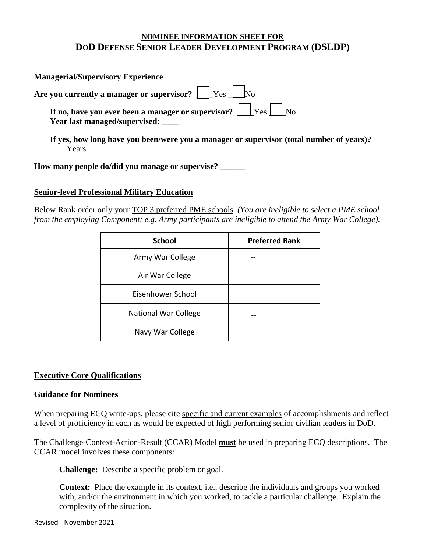## **NOMINEE INFORMATION SHEET FOR DOD DEFENSE SENIOR LEADER DEVELOPMENT PROGRAM (DSLDP)**

|       | <b>Managerial/Supervisory Experience</b>                                                                 |
|-------|----------------------------------------------------------------------------------------------------------|
|       | Are you currently a manager or supervisor? $\Box$ Yes $\Box$ No                                          |
|       | If no, have you ever been a manager or supervisor? $\Box$ Yes $\Box$ No<br>Year last managed/supervised: |
| Years | If yes, how long have you been/were you a manager or supervisor (total number of years)?                 |

**How many people do/did you manage or supervise?** \_\_\_\_\_\_

## **Senior-level Professional Military Education**

Below Rank order only your TOP 3 preferred PME schools. *(You are ineligible to select a PME school from the employing Component; e.g. Army participants are ineligible to attend the Army War College).*

| <b>School</b>               | <b>Preferred Rank</b> |  |  |
|-----------------------------|-----------------------|--|--|
| Army War College            |                       |  |  |
| Air War College             |                       |  |  |
| Eisenhower School           |                       |  |  |
| <b>National War College</b> |                       |  |  |
| Navy War College            |                       |  |  |

## **Executive Core Qualifications**

## **Guidance for Nominees**

When preparing ECQ write-ups, please cite specific and current examples of accomplishments and reflect a level of proficiency in each as would be expected of high performing senior civilian leaders in DoD.

The Challenge-Context-Action-Result (CCAR) Model **must** be used in preparing ECQ descriptions. The CCAR model involves these components:

**Challenge:** Describe a specific problem or goal.

**Context:** Place the example in its context, i.e., describe the individuals and groups you worked with, and/or the environment in which you worked, to tackle a particular challenge. Explain the complexity of the situation.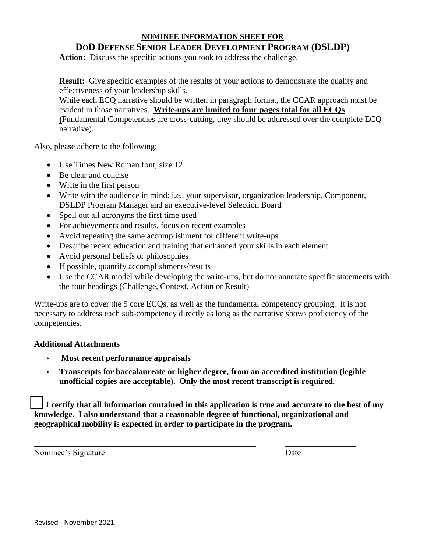## **NOMINEE INFORMATION SHEET FOR DOD DEFENSE SENIOR LEADER DEVELOPMENT PROGRAM (DSLDP)**

**Action:** Discuss the specific actions you took to address the challenge.

**Result:** Give specific examples of the results of your actions to demonstrate the quality and effectiveness of your leadership skills.

While each ECQ narrative should be written in paragraph format, the CCAR approach must be evident in those narratives. **Write-ups are limited to four pages total for all ECQs (**Fundamental Competencies are cross-cutting, they should be addressed over the complete ECQ narrative).

Also, please adhere to the following:

- Use Times New Roman font, size 12
- Be clear and concise
- Write in the first person
- Write with the audience in mind: i.e., your supervisor, organization leadership, Component, DSLDP Program Manager and an executive-level Selection Board
- Spell out all acronyms the first time used
- For achievements and results, focus on recent examples
- Avoid repeating the same accomplishment for different write-ups
- Describe recent education and training that enhanced your skills in each element
- Avoid personal beliefs or philosophies
- If possible, quantify accomplishments/results
- Use the CCAR model while developing the write-ups, but do not annotate specific statements with the four headings (Challenge, Context, Action or Result)

Write-ups are to cover the 5 core ECQs, as well as the fundamental competency grouping. It is not necessary to address each sub-competency directly as long as the narrative shows proficiency of the competencies.

## **Additional Attachments**

- **Most recent performance appraisals**
- **Transcripts for baccalaureate or higher degree, from an accredited institution (legible unofficial copies are acceptable). Only the most recent transcript is required.**

 **I certify that all information contained in this application is true and accurate to the best of my knowledge. I also understand that a reasonable degree of functional, organizational and geographical mobility is expected in order to participate in the program.**

\_\_\_\_\_\_\_\_\_\_\_\_\_\_\_\_\_\_\_\_\_\_\_\_\_\_\_\_\_\_\_\_\_\_\_\_\_\_\_\_\_\_\_\_\_\_\_\_\_\_\_\_\_ \_\_\_\_\_\_\_\_\_\_\_\_\_\_\_\_\_

Nominee's Signature Date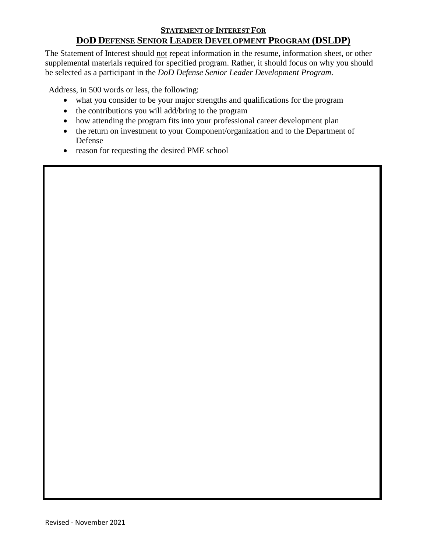## **STATEMENT OF INTEREST FOR DOD DEFENSE SENIOR LEADER DEVELOPMENT PROGRAM (DSLDP)**

The Statement of Interest should not repeat information in the resume, information sheet, or other supplemental materials required for specified program. Rather, it should focus on why you should be selected as a participant in the *DoD Defense Senior Leader Development Program*.

Address, in 500 words or less, the following:

- what you consider to be your major strengths and qualifications for the program
- the contributions you will add/bring to the program
- how attending the program fits into your professional career development plan
- the return on investment to your Component/organization and to the Department of Defense
- reason for requesting the desired PME school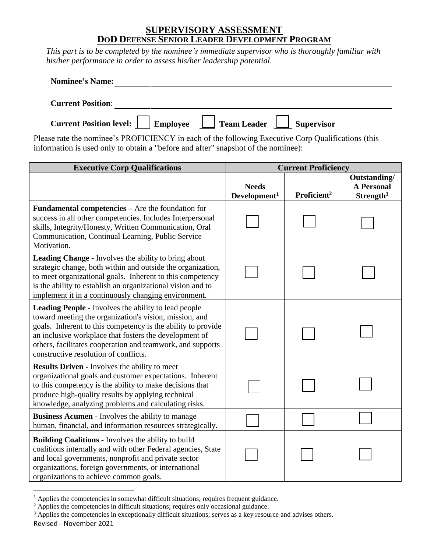## **SUPERVISORY ASSESSMENT DOD DEFENSE SENIOR LEADER DEVELOPMENT PROGRAM**

*This part is to be completed by the nominee's immediate supervisor who is thoroughly familiar with his/her performance in order to assess his/her leadership potential.*

| <b>Nominee's Name:</b>                                                         |
|--------------------------------------------------------------------------------|
| <b>Current Position:</b>                                                       |
| Current Position level: Employee Γαινιστικό Στραπ Leader Γαινιστικό Συρετνίειο |

Please rate the nominee's PROFICIENCY in each of the following Executive Corp Qualifications (this information is used only to obtain a "before and after" snapshot of the nominee):

| <b>Executive Corp Qualifications</b>                                                                                                                                                                                                                                                                                                                   | <b>Current Proficiency</b>               |                         |                                                            |
|--------------------------------------------------------------------------------------------------------------------------------------------------------------------------------------------------------------------------------------------------------------------------------------------------------------------------------------------------------|------------------------------------------|-------------------------|------------------------------------------------------------|
|                                                                                                                                                                                                                                                                                                                                                        | <b>Needs</b><br>Development <sup>1</sup> | Proficient <sup>2</sup> | Outstanding/<br><b>A Personal</b><br>Strength <sup>3</sup> |
| <b>Fundamental competencies – Are the foundation for</b><br>success in all other competencies. Includes Interpersonal<br>skills, Integrity/Honesty, Written Communication, Oral<br>Communication, Continual Learning, Public Service<br>Motivation.                                                                                                    |                                          |                         |                                                            |
| <b>Leading Change - Involves the ability to bring about</b><br>strategic change, both within and outside the organization,<br>to meet organizational goals. Inherent to this competency<br>is the ability to establish an organizational vision and to<br>implement it in a continuously changing environment.                                         |                                          |                         |                                                            |
| <b>Leading People - Involves the ability to lead people</b><br>toward meeting the organization's vision, mission, and<br>goals. Inherent to this competency is the ability to provide<br>an inclusive workplace that fosters the development of<br>others, facilitates cooperation and teamwork, and supports<br>constructive resolution of conflicts. |                                          |                         |                                                            |
| <b>Results Driven - Involves the ability to meet</b><br>organizational goals and customer expectations. Inherent<br>to this competency is the ability to make decisions that<br>produce high-quality results by applying technical<br>knowledge, analyzing problems and calculating risks.                                                             |                                          |                         |                                                            |
| <b>Business Acumen - Involves the ability to manage</b><br>human, financial, and information resources strategically.                                                                                                                                                                                                                                  |                                          |                         |                                                            |
| <b>Building Coalitions - Involves the ability to build</b><br>coalitions internally and with other Federal agencies, State<br>and local governments, nonprofit and private sector<br>organizations, foreign governments, or international<br>organizations to achieve common goals.                                                                    |                                          |                         |                                                            |

 $\overline{a}$  $<sup>1</sup>$  Applies the competencies in somewhat difficult situations; requires frequent guidance.</sup>

<sup>&</sup>lt;sup>2</sup> Applies the competencies in difficult situations; requires only occasional guidance.

Revised - November 2021 <sup>3</sup> Applies the competencies in exceptionally difficult situations; serves as a key resource and advises others.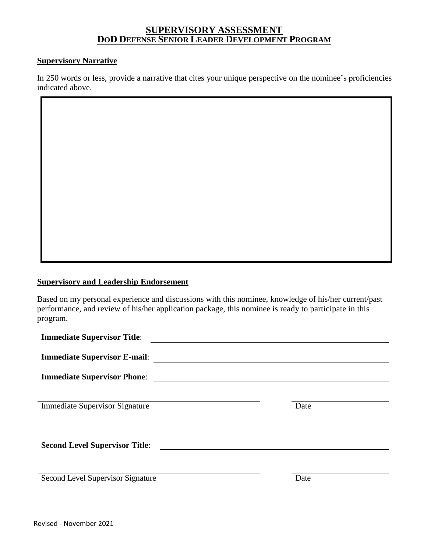## **SUPERVISORY ASSESSMENT DOD DEFENSE SENIOR LEADER DEVELOPMENT PROGRAM**

### **Supervisory Narrative**

In 250 words or less, provide a narrative that cites your unique perspective on the nominee's proficiencies indicated above.

## **Supervisory and Leadership Endorsement**

Based on my personal experience and discussions with this nominee, knowledge of his/her current/past performance, and review of his/her application package, this nominee is ready to participate in this program.

| <b>Immediate Supervisor Title:</b>    |      |
|---------------------------------------|------|
| <b>Immediate Supervisor E-mail:</b>   |      |
| <b>Immediate Supervisor Phone:</b>    |      |
|                                       |      |
| <b>Immediate Supervisor Signature</b> | Date |
|                                       |      |
|                                       |      |
| <b>Second Level Supervisor Title:</b> |      |
|                                       |      |
|                                       |      |
| Second Level Supervisor Signature     | Date |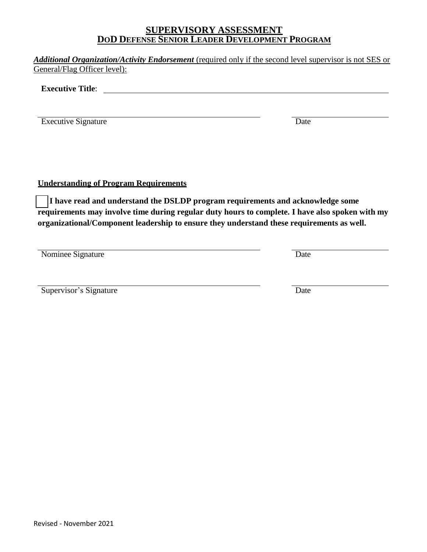## **SUPERVISORY ASSESSMENT DOD DEFENSE SENIOR LEADER DEVELOPMENT PROGRAM**

*Additional Organization/Activity Endorsement* (required only if the second level supervisor is not SES or General/Flag Officer level):

**Executive Title**:

Executive Signature Date

**Understanding of Program Requirements**

 **I have read and understand the DSLDP program requirements and acknowledge some requirements may involve time during regular duty hours to complete. I have also spoken with my organizational/Component leadership to ensure they understand these requirements as well.**

Nominee Signature Date

Supervisor's Signature Date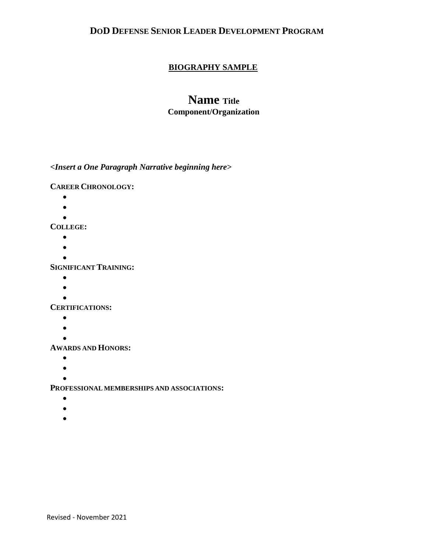## **DOD DEFENSE SENIOR LEADER DEVELOPMENT PROGRAM**

## **BIOGRAPHY SAMPLE**

## **Name Title Component/Organization**

*<Insert a One Paragraph Narrative beginning here>*

**CAREER CHRONOLOGY:**

- $\bullet$
- $\bullet$
- $\bullet$

**COLLEGE:**

- $\bullet$
- $\bullet$
- $\bullet$

**SIGNIFICANT TRAINING:**

- $\bullet$
- $\bullet$
- $\bullet$

**CERTIFICATIONS:**

- $\bullet$
- $\bullet$
- $\blacksquare$

**AWARDS AND HONORS:**

- $\bullet$
- $\bullet$
- $\bullet$

**PROFESSIONAL MEMBERSHIPS AND ASSOCIATIONS:**

- $\bullet$
- $\bullet$
- 
- $\bullet$